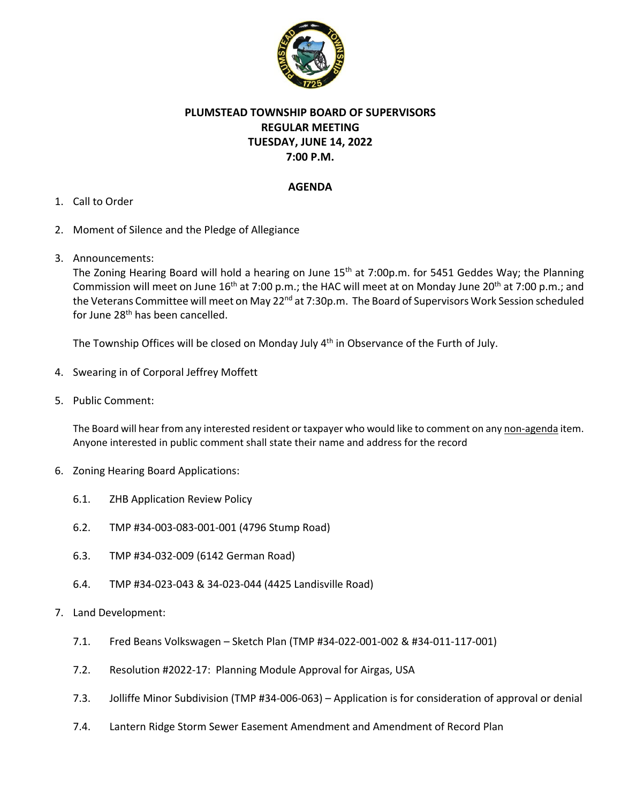

# **PLUMSTEAD TOWNSHIP BOARD OF SUPERVISORS REGULAR MEETING TUESDAY, JUNE 14, 2022 7:00 P.M.**

## **AGENDA**

- 1. Call to Order
- 2. Moment of Silence and the Pledge of Allegiance
- 3. Announcements:

The Zoning Hearing Board will hold a hearing on June 15<sup>th</sup> at 7:00p.m. for 5451 Geddes Way; the Planning Commission will meet on June 16<sup>th</sup> at 7:00 p.m.; the HAC will meet at on Monday June 20<sup>th</sup> at 7:00 p.m.; and the Veterans Committee will meet on May 22<sup>nd</sup> at 7:30p.m. The Board of Supervisors Work Session scheduled for June 28<sup>th</sup> has been cancelled.

The Township Offices will be closed on Monday July 4<sup>th</sup> in Observance of the Furth of July.

- 4. Swearing in of Corporal Jeffrey Moffett
- 5. Public Comment:

The Board will hear from any interested resident or taxpayer who would like to comment on any non-agenda item. Anyone interested in public comment shall state their name and address for the record

- 6. Zoning Hearing Board Applications:
	- 6.1. ZHB Application Review Policy
	- 6.2. TMP #34‐003‐083‐001‐001 (4796 Stump Road)
	- 6.3. TMP #34‐032‐009 (6142 German Road)
	- 6.4. TMP #34‐023‐043 & 34‐023‐044 (4425 Landisville Road)
- 7. Land Development:
	- 7.1. Fred Beans Volkswagen Sketch Plan (TMP #34‐022‐001‐002 & #34‐011‐117‐001)
	- 7.2. Resolution #2022‐17: Planning Module Approval for Airgas, USA
	- 7.3. Jolliffe Minor Subdivision (TMP #34‐006‐063) Application is for consideration of approval or denial
	- 7.4. Lantern Ridge Storm Sewer Easement Amendment and Amendment of Record Plan